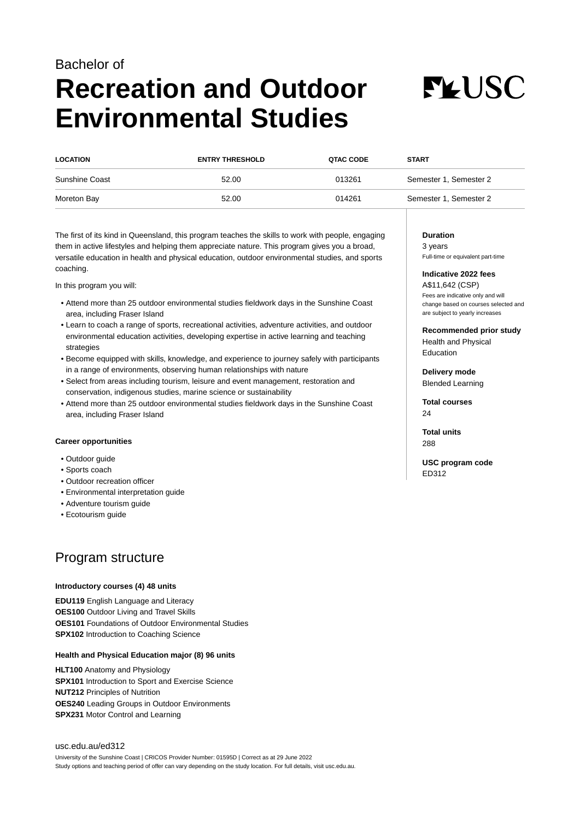# Bachelor of **Recreation and Outdoor Environmental Studies**



| <b>LOCATION</b> | <b>ENTRY THRESHOLD</b> | <b>QTAC CODE</b> | <b>START</b>           |
|-----------------|------------------------|------------------|------------------------|
| Sunshine Coast  | 52.00                  | 013261           | Semester 1, Semester 2 |
| Moreton Bay     | 52.00                  | 014261           | Semester 1, Semester 2 |

The first of its kind in Queensland, this program teaches the skills to work with people, engaging them in active lifestyles and helping them appreciate nature. This program gives you a broad, versatile education in health and physical education, outdoor environmental studies, and sports coaching.

In this program you will:

- Attend more than 25 outdoor environmental studies fieldwork days in the Sunshine Coast area, including Fraser Island
- Learn to coach a range of sports, recreational activities, adventure activities, and outdoor environmental education activities, developing expertise in active learning and teaching strategies
- Become equipped with skills, knowledge, and experience to journey safely with participants in a range of environments, observing human relationships with nature
- Select from areas including tourism, leisure and event management, restoration and conservation, indigenous studies, marine science or sustainability
- Attend more than 25 outdoor environmental studies fieldwork days in the Sunshine Coast area, including Fraser Island

#### **Career opportunities**

- Outdoor guide
- Sports coach
- Outdoor recreation officer
- Environmental interpretation guide
- Adventure tourism guide
- Ecotourism guide

# Program structure

#### **Introductory courses (4) 48 units**

**EDU119** English Language and Literacy **OES100** Outdoor Living and Travel Skills **OES101** Foundations of Outdoor Environmental Studies **SPX102** Introduction to Coaching Science

#### **Health and Physical Education major (8) 96 units**

**HLT100** Anatomy and Physiology **SPX101** Introduction to Sport and Exercise Science **NUT212** Principles of Nutrition **OES240** Leading Groups in Outdoor Environments **SPX231** Motor Control and Learning

[usc.edu.au/ed312](https://www.usc.edu.au/ed312) University of the Sunshine Coast | CRICOS Provider Number: 01595D | Correct as at 29 June 2022 Study options and teaching period of offer can vary depending on the study location. For full details, visit usc.edu.au.

#### **Duration**

3 years Full-time or equivalent part-time

# **Indicative 2022 fees**

A\$11,642 (CSP) Fees are indicative only and will change based on courses selected and are subject to yearly increases

**Recommended prior study** Health and Physical Education

**Delivery mode** Blended Learning

**Total courses**  $24$ 

**Total units** 288

**USC program code** ED312